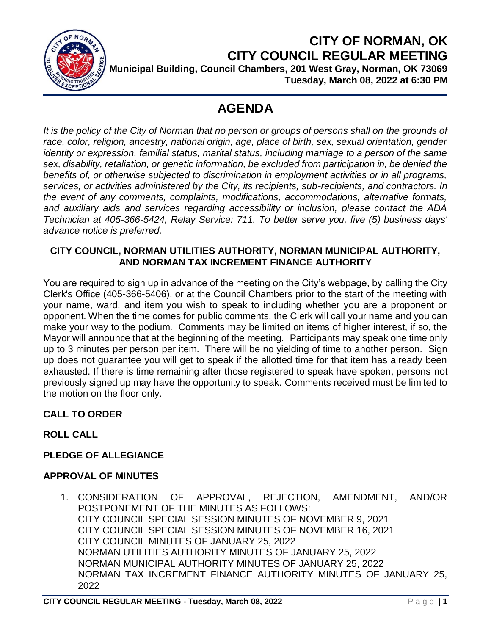

**CITY OF NORMAN, OK CITY COUNCIL REGULAR MEETING Municipal Building, Council Chambers, 201 West Gray, Norman, OK 73069 Tuesday, March 08, 2022 at 6:30 PM**

# **AGENDA**

It is the policy of the City of Norman that no person or groups of persons shall on the grounds of *race, color, religion, ancestry, national origin, age, place of birth, sex, sexual orientation, gender identity or expression, familial status, marital status, including marriage to a person of the same sex, disability, retaliation, or genetic information, be excluded from participation in, be denied the benefits of, or otherwise subjected to discrimination in employment activities or in all programs, services, or activities administered by the City, its recipients, sub-recipients, and contractors. In the event of any comments, complaints, modifications, accommodations, alternative formats, and auxiliary aids and services regarding accessibility or inclusion, please contact the ADA Technician at 405-366-5424, Relay Service: 711. To better serve you, five (5) business days' advance notice is preferred.*

#### **CITY COUNCIL, NORMAN UTILITIES AUTHORITY, NORMAN MUNICIPAL AUTHORITY, AND NORMAN TAX INCREMENT FINANCE AUTHORITY**

You are required to sign up in advance of the meeting on the City's webpage, by calling the City Clerk's Office (405-366-5406), or at the Council Chambers prior to the start of the meeting with your name, ward, and item you wish to speak to including whether you are a proponent or opponent. When the time comes for public comments, the Clerk will call your name and you can make your way to the podium. Comments may be limited on items of higher interest, if so, the Mayor will announce that at the beginning of the meeting. Participants may speak one time only up to 3 minutes per person per item. There will be no yielding of time to another person. Sign up does not guarantee you will get to speak if the allotted time for that item has already been exhausted. If there is time remaining after those registered to speak have spoken, persons not previously signed up may have the opportunity to speak. Comments received must be limited to the motion on the floor only.

## **CALL TO ORDER**

## **ROLL CALL**

## **PLEDGE OF ALLEGIANCE**

## **APPROVAL OF MINUTES**

1. CONSIDERATION OF APPROVAL, REJECTION, AMENDMENT, AND/OR POSTPONEMENT OF THE MINUTES AS FOLLOWS: CITY COUNCIL SPECIAL SESSION MINUTES OF NOVEMBER 9, 2021 CITY COUNCIL SPECIAL SESSION MINUTES OF NOVEMBER 16, 2021 CITY COUNCIL MINUTES OF JANUARY 25, 2022 NORMAN UTILITIES AUTHORITY MINUTES OF JANUARY 25, 2022 NORMAN MUNICIPAL AUTHORITY MINUTES OF JANUARY 25, 2022 NORMAN TAX INCREMENT FINANCE AUTHORITY MINUTES OF JANUARY 25, 2022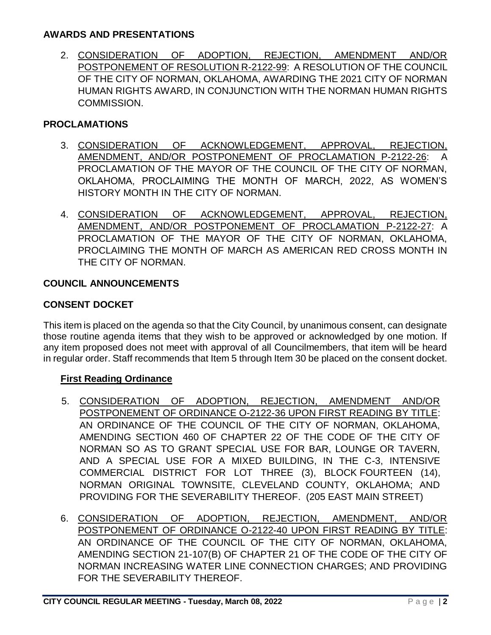#### **AWARDS AND PRESENTATIONS**

2. CONSIDERATION OF ADOPTION, REJECTION, AMENDMENT AND/OR POSTPONEMENT OF RESOLUTION R-2122-99: A RESOLUTION OF THE COUNCIL OF THE CITY OF NORMAN, OKLAHOMA, AWARDING THE 2021 CITY OF NORMAN HUMAN RIGHTS AWARD, IN CONJUNCTION WITH THE NORMAN HUMAN RIGHTS COMMISSION.

#### **PROCLAMATIONS**

- 3. CONSIDERATION OF ACKNOWLEDGEMENT, APPROVAL, REJECTION, AMENDMENT, AND/OR POSTPONEMENT OF PROCLAMATION P-2122-26: A PROCLAMATION OF THE MAYOR OF THE COUNCIL OF THE CITY OF NORMAN, OKLAHOMA, PROCLAIMING THE MONTH OF MARCH, 2022, AS WOMEN'S HISTORY MONTH IN THE CITY OF NORMAN.
- 4. CONSIDERATION OF ACKNOWLEDGEMENT, APPROVAL, REJECTION, AMENDMENT, AND/OR POSTPONEMENT OF PROCLAMATION P-2122-27: A PROCLAMATION OF THE MAYOR OF THE CITY OF NORMAN, OKLAHOMA, PROCLAIMING THE MONTH OF MARCH AS AMERICAN RED CROSS MONTH IN THE CITY OF NORMAN.

#### **COUNCIL ANNOUNCEMENTS**

#### **CONSENT DOCKET**

This item is placed on the agenda so that the City Council, by unanimous consent, can designate those routine agenda items that they wish to be approved or acknowledged by one motion. If any item proposed does not meet with approval of all Councilmembers, that item will be heard in regular order. Staff recommends that Item 5 through Item 30 be placed on the consent docket.

#### **First Reading Ordinance**

- 5. CONSIDERATION OF ADOPTION, REJECTION, AMENDMENT AND/OR POSTPONEMENT OF ORDINANCE O-2122-36 UPON FIRST READING BY TITLE: AN ORDINANCE OF THE COUNCIL OF THE CITY OF NORMAN, OKLAHOMA, AMENDING SECTION 460 OF CHAPTER 22 OF THE CODE OF THE CITY OF NORMAN SO AS TO GRANT SPECIAL USE FOR BAR, LOUNGE OR TAVERN, AND A SPECIAL USE FOR A MIXED BUILDING, IN THE C-3, INTENSIVE COMMERCIAL DISTRICT FOR LOT THREE (3), BLOCK FOURTEEN (14), NORMAN ORIGINAL TOWNSITE, CLEVELAND COUNTY, OKLAHOMA; AND PROVIDING FOR THE SEVERABILITY THEREOF. (205 EAST MAIN STREET)
- 6. CONSIDERATION OF ADOPTION, REJECTION, AMENDMENT, AND/OR POSTPONEMENT OF ORDINANCE O-2122-40 UPON FIRST READING BY TITLE: AN ORDINANCE OF THE COUNCIL OF THE CITY OF NORMAN, OKLAHOMA, AMENDING SECTION 21-107(B) OF CHAPTER 21 OF THE CODE OF THE CITY OF NORMAN INCREASING WATER LINE CONNECTION CHARGES; AND PROVIDING FOR THE SEVERABILITY THEREOF.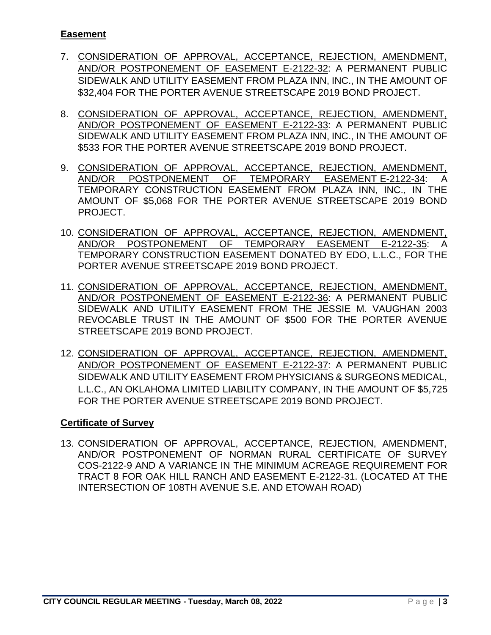#### **Easement**

- 7. CONSIDERATION OF APPROVAL, ACCEPTANCE, REJECTION, AMENDMENT, AND/OR POSTPONEMENT OF EASEMENT E-2122-32: A PERMANENT PUBLIC SIDEWALK AND UTILITY EASEMENT FROM PLAZA INN, INC., IN THE AMOUNT OF \$32,404 FOR THE PORTER AVENUE STREETSCAPE 2019 BOND PROJECT.
- 8. CONSIDERATION OF APPROVAL, ACCEPTANCE, REJECTION, AMENDMENT, AND/OR POSTPONEMENT OF EASEMENT E-2122-33: A PERMANENT PUBLIC SIDEWALK AND UTILITY EASEMENT FROM PLAZA INN, INC., IN THE AMOUNT OF \$533 FOR THE PORTER AVENUE STREETSCAPE 2019 BOND PROJECT.
- 9. CONSIDERATION OF APPROVAL, ACCEPTANCE, REJECTION, AMENDMENT, AND/OR POSTPONEMENT OF TEMPORARY EASEMENT E-2122-34: A TEMPORARY CONSTRUCTION EASEMENT FROM PLAZA INN, INC., IN THE AMOUNT OF \$5,068 FOR THE PORTER AVENUE STREETSCAPE 2019 BOND PROJECT.
- 10. CONSIDERATION OF APPROVAL, ACCEPTANCE, REJECTION, AMENDMENT, AND/OR POSTPONEMENT OF TEMPORARY EASEMENT E-2122-35: A TEMPORARY CONSTRUCTION EASEMENT DONATED BY EDO, L.L.C., FOR THE PORTER AVENUE STREETSCAPE 2019 BOND PROJECT.
- 11. CONSIDERATION OF APPROVAL, ACCEPTANCE, REJECTION, AMENDMENT, AND/OR POSTPONEMENT OF EASEMENT E-2122-36: A PERMANENT PUBLIC SIDEWALK AND UTILITY EASEMENT FROM THE JESSIE M. VAUGHAN 2003 REVOCABLE TRUST IN THE AMOUNT OF \$500 FOR THE PORTER AVENUE STREETSCAPE 2019 BOND PROJECT.
- 12. CONSIDERATION OF APPROVAL, ACCEPTANCE, REJECTION, AMENDMENT, AND/OR POSTPONEMENT OF EASEMENT E-2122-37: A PERMANENT PUBLIC SIDEWALK AND UTILITY EASEMENT FROM PHYSICIANS & SURGEONS MEDICAL, L.L.C., AN OKLAHOMA LIMITED LIABILITY COMPANY, IN THE AMOUNT OF \$5,725 FOR THE PORTER AVENUE STREETSCAPE 2019 BOND PROJECT.

#### **Certificate of Survey**

13. CONSIDERATION OF APPROVAL, ACCEPTANCE, REJECTION, AMENDMENT, AND/OR POSTPONEMENT OF NORMAN RURAL CERTIFICATE OF SURVEY COS-2122-9 AND A VARIANCE IN THE MINIMUM ACREAGE REQUIREMENT FOR TRACT 8 FOR OAK HILL RANCH AND EASEMENT E-2122-31. (LOCATED AT THE INTERSECTION OF 108TH AVENUE S.E. AND ETOWAH ROAD)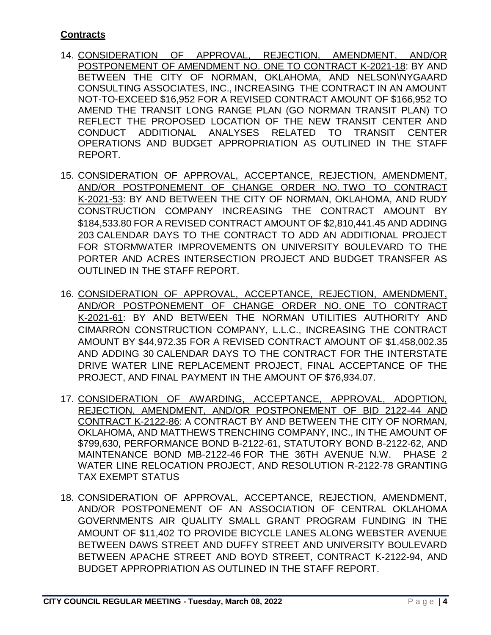## **Contracts**

- 14. CONSIDERATION OF APPROVAL, REJECTION, AMENDMENT, AND/OR POSTPONEMENT OF AMENDMENT NO. ONE TO CONTRACT K-2021-18: BY AND BETWEEN THE CITY OF NORMAN, OKLAHOMA, AND NELSON\NYGAARD CONSULTING ASSOCIATES, INC., INCREASING THE CONTRACT IN AN AMOUNT NOT-TO-EXCEED \$16,952 FOR A REVISED CONTRACT AMOUNT OF \$166,952 TO AMEND THE TRANSIT LONG RANGE PLAN (GO NORMAN TRANSIT PLAN) TO REFLECT THE PROPOSED LOCATION OF THE NEW TRANSIT CENTER AND CONDUCT ADDITIONAL ANALYSES RELATED TO TRANSIT CENTER OPERATIONS AND BUDGET APPROPRIATION AS OUTLINED IN THE STAFF REPORT.
- 15. CONSIDERATION OF APPROVAL, ACCEPTANCE, REJECTION, AMENDMENT, AND/OR POSTPONEMENT OF CHANGE ORDER NO. TWO TO CONTRACT K-2021-53: BY AND BETWEEN THE CITY OF NORMAN, OKLAHOMA, AND RUDY CONSTRUCTION COMPANY INCREASING THE CONTRACT AMOUNT BY \$184,533.80 FOR A REVISED CONTRACT AMOUNT OF \$2,810,441.45 AND ADDING 203 CALENDAR DAYS TO THE CONTRACT TO ADD AN ADDITIONAL PROJECT FOR STORMWATER IMPROVEMENTS ON UNIVERSITY BOULEVARD TO THE PORTER AND ACRES INTERSECTION PROJECT AND BUDGET TRANSFER AS OUTLINED IN THE STAFF REPORT.
- 16. CONSIDERATION OF APPROVAL, ACCEPTANCE, REJECTION, AMENDMENT, AND/OR POSTPONEMENT OF CHANGE ORDER NO. ONE TO CONTRACT K-2021-61: BY AND BETWEEN THE NORMAN UTILITIES AUTHORITY AND CIMARRON CONSTRUCTION COMPANY, L.L.C., INCREASING THE CONTRACT AMOUNT BY \$44,972.35 FOR A REVISED CONTRACT AMOUNT OF \$1,458,002.35 AND ADDING 30 CALENDAR DAYS TO THE CONTRACT FOR THE INTERSTATE DRIVE WATER LINE REPLACEMENT PROJECT, FINAL ACCEPTANCE OF THE PROJECT, AND FINAL PAYMENT IN THE AMOUNT OF \$76,934.07.
- 17. CONSIDERATION OF AWARDING, ACCEPTANCE, APPROVAL, ADOPTION, REJECTION, AMENDMENT, AND/OR POSTPONEMENT OF BID 2122-44 AND CONTRACT K-2122-86: A CONTRACT BY AND BETWEEN THE CITY OF NORMAN, OKLAHOMA, AND MATTHEWS TRENCHING COMPANY, INC., IN THE AMOUNT OF \$799,630, PERFORMANCE BOND B-2122-61, STATUTORY BOND B-2122-62, AND MAINTENANCE BOND MB-2122-46 FOR THE 36TH AVENUE N.W. PHASE 2 WATER LINE RELOCATION PROJECT, AND RESOLUTION R-2122-78 GRANTING TAX EXEMPT STATUS
- 18. CONSIDERATION OF APPROVAL, ACCEPTANCE, REJECTION, AMENDMENT, AND/OR POSTPONEMENT OF AN ASSOCIATION OF CENTRAL OKLAHOMA GOVERNMENTS AIR QUALITY SMALL GRANT PROGRAM FUNDING IN THE AMOUNT OF \$11,402 TO PROVIDE BICYCLE LANES ALONG WEBSTER AVENUE BETWEEN DAWS STREET AND DUFFY STREET AND UNIVERSITY BOULEVARD BETWEEN APACHE STREET AND BOYD STREET, CONTRACT K-2122-94, AND BUDGET APPROPRIATION AS OUTLINED IN THE STAFF REPORT.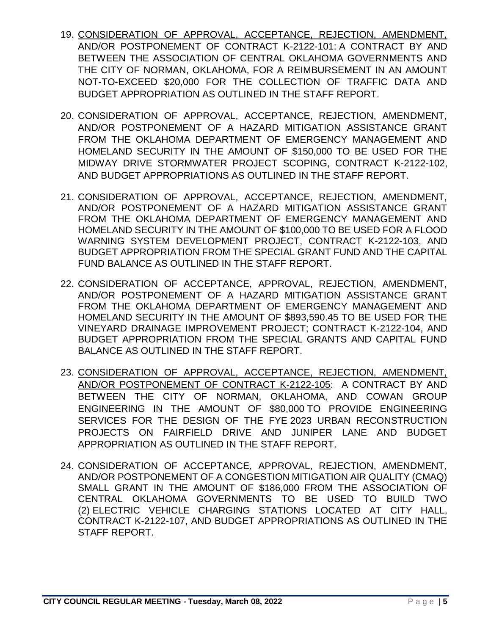- 19. CONSIDERATION OF APPROVAL, ACCEPTANCE, REJECTION, AMENDMENT, AND/OR POSTPONEMENT OF CONTRACT K-2122-101: A CONTRACT BY AND BETWEEN THE ASSOCIATION OF CENTRAL OKLAHOMA GOVERNMENTS AND THE CITY OF NORMAN, OKLAHOMA, FOR A REIMBURSEMENT IN AN AMOUNT NOT-TO-EXCEED \$20,000 FOR THE COLLECTION OF TRAFFIC DATA AND BUDGET APPROPRIATION AS OUTLINED IN THE STAFF REPORT.
- 20. CONSIDERATION OF APPROVAL, ACCEPTANCE, REJECTION, AMENDMENT, AND/OR POSTPONEMENT OF A HAZARD MITIGATION ASSISTANCE GRANT FROM THE OKLAHOMA DEPARTMENT OF EMERGENCY MANAGEMENT AND HOMELAND SECURITY IN THE AMOUNT OF \$150,000 TO BE USED FOR THE MIDWAY DRIVE STORMWATER PROJECT SCOPING, CONTRACT K-2122-102, AND BUDGET APPROPRIATIONS AS OUTLINED IN THE STAFF REPORT.
- 21. CONSIDERATION OF APPROVAL, ACCEPTANCE, REJECTION, AMENDMENT, AND/OR POSTPONEMENT OF A HAZARD MITIGATION ASSISTANCE GRANT FROM THE OKLAHOMA DEPARTMENT OF EMERGENCY MANAGEMENT AND HOMELAND SECURITY IN THE AMOUNT OF \$100,000 TO BE USED FOR A FLOOD WARNING SYSTEM DEVELOPMENT PROJECT, CONTRACT K-2122-103, AND BUDGET APPROPRIATION FROM THE SPECIAL GRANT FUND AND THE CAPITAL FUND BALANCE AS OUTLINED IN THE STAFF REPORT.
- 22. CONSIDERATION OF ACCEPTANCE, APPROVAL, REJECTION, AMENDMENT, AND/OR POSTPONEMENT OF A HAZARD MITIGATION ASSISTANCE GRANT FROM THE OKLAHOMA DEPARTMENT OF EMERGENCY MANAGEMENT AND HOMELAND SECURITY IN THE AMOUNT OF \$893,590.45 TO BE USED FOR THE VINEYARD DRAINAGE IMPROVEMENT PROJECT; CONTRACT K-2122-104, AND BUDGET APPROPRIATION FROM THE SPECIAL GRANTS AND CAPITAL FUND BALANCE AS OUTLINED IN THE STAFF REPORT.
- 23. CONSIDERATION OF APPROVAL, ACCEPTANCE, REJECTION, AMENDMENT, AND/OR POSTPONEMENT OF CONTRACT K-2122-105: A CONTRACT BY AND BETWEEN THE CITY OF NORMAN, OKLAHOMA, AND COWAN GROUP ENGINEERING IN THE AMOUNT OF \$80,000 TO PROVIDE ENGINEERING SERVICES FOR THE DESIGN OF THE FYE 2023 URBAN RECONSTRUCTION PROJECTS ON FAIRFIELD DRIVE AND JUNIPER LANE AND BUDGET APPROPRIATION AS OUTLINED IN THE STAFF REPORT.
- 24. CONSIDERATION OF ACCEPTANCE, APPROVAL, REJECTION, AMENDMENT, AND/OR POSTPONEMENT OF A CONGESTION MITIGATION AIR QUALITY (CMAQ) SMALL GRANT IN THE AMOUNT OF \$186,000 FROM THE ASSOCIATION OF CENTRAL OKLAHOMA GOVERNMENTS TO BE USED TO BUILD TWO (2) ELECTRIC VEHICLE CHARGING STATIONS LOCATED AT CITY HALL, CONTRACT K-2122-107, AND BUDGET APPROPRIATIONS AS OUTLINED IN THE STAFF REPORT.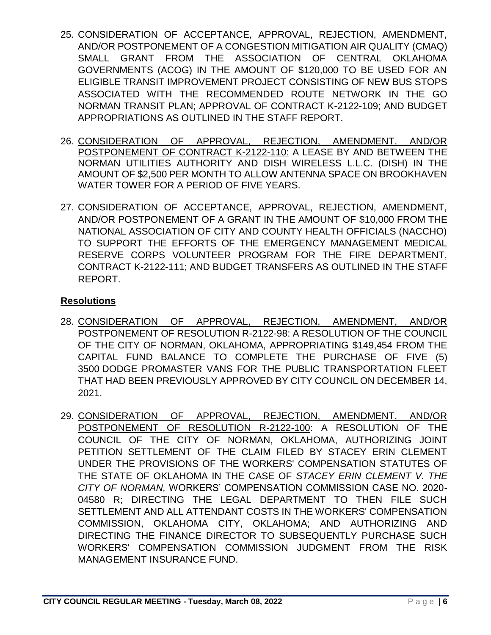- 25. CONSIDERATION OF ACCEPTANCE, APPROVAL, REJECTION, AMENDMENT, AND/OR POSTPONEMENT OF A CONGESTION MITIGATION AIR QUALITY (CMAQ) SMALL GRANT FROM THE ASSOCIATION OF CENTRAL OKLAHOMA GOVERNMENTS (ACOG) IN THE AMOUNT OF \$120,000 TO BE USED FOR AN ELIGIBLE TRANSIT IMPROVEMENT PROJECT CONSISTING OF NEW BUS STOPS ASSOCIATED WITH THE RECOMMENDED ROUTE NETWORK IN THE GO NORMAN TRANSIT PLAN; APPROVAL OF CONTRACT K-2122-109; AND BUDGET APPROPRIATIONS AS OUTLINED IN THE STAFF REPORT.
- 26. CONSIDERATION OF APPROVAL, REJECTION, AMENDMENT, AND/OR POSTPONEMENT OF CONTRACT K-2122-110: A LEASE BY AND BETWEEN THE NORMAN UTILITIES AUTHORITY AND DISH WIRELESS L.L.C. (DISH) IN THE AMOUNT OF \$2,500 PER MONTH TO ALLOW ANTENNA SPACE ON BROOKHAVEN WATER TOWER FOR A PERIOD OF FIVE YEARS.
- 27. CONSIDERATION OF ACCEPTANCE, APPROVAL, REJECTION, AMENDMENT, AND/OR POSTPONEMENT OF A GRANT IN THE AMOUNT OF \$10,000 FROM THE NATIONAL ASSOCIATION OF CITY AND COUNTY HEALTH OFFICIALS (NACCHO) TO SUPPORT THE EFFORTS OF THE EMERGENCY MANAGEMENT MEDICAL RESERVE CORPS VOLUNTEER PROGRAM FOR THE FIRE DEPARTMENT, CONTRACT K-2122-111; AND BUDGET TRANSFERS AS OUTLINED IN THE STAFF REPORT.

### **Resolutions**

- 28. CONSIDERATION OF APPROVAL, REJECTION, AMENDMENT, AND/OR POSTPONEMENT OF RESOLUTION R-2122-98: A RESOLUTION OF THE COUNCIL OF THE CITY OF NORMAN, OKLAHOMA, APPROPRIATING \$149,454 FROM THE CAPITAL FUND BALANCE TO COMPLETE THE PURCHASE OF FIVE (5) 3500 DODGE PROMASTER VANS FOR THE PUBLIC TRANSPORTATION FLEET THAT HAD BEEN PREVIOUSLY APPROVED BY CITY COUNCIL ON DECEMBER 14, 2021.
- 29. CONSIDERATION OF APPROVAL, REJECTION, AMENDMENT, AND/OR POSTPONEMENT OF RESOLUTION R-2122-100: A RESOLUTION OF THE COUNCIL OF THE CITY OF NORMAN, OKLAHOMA, AUTHORIZING JOINT PETITION SETTLEMENT OF THE CLAIM FILED BY STACEY ERIN CLEMENT UNDER THE PROVISIONS OF THE WORKERS' COMPENSATION STATUTES OF THE STATE OF OKLAHOMA IN THE CASE OF *STACEY ERIN CLEMENT V. THE CITY OF NORMAN,* WORKERS' COMPENSATION COMMISSION CASE NO. 2020- 04580 R; DIRECTING THE LEGAL DEPARTMENT TO THEN FILE SUCH SETTLEMENT AND ALL ATTENDANT COSTS IN THE WORKERS' COMPENSATION COMMISSION, OKLAHOMA CITY, OKLAHOMA; AND AUTHORIZING AND DIRECTING THE FINANCE DIRECTOR TO SUBSEQUENTLY PURCHASE SUCH WORKERS' COMPENSATION COMMISSION JUDGMENT FROM THE RISK MANAGEMENT INSURANCE FUND.